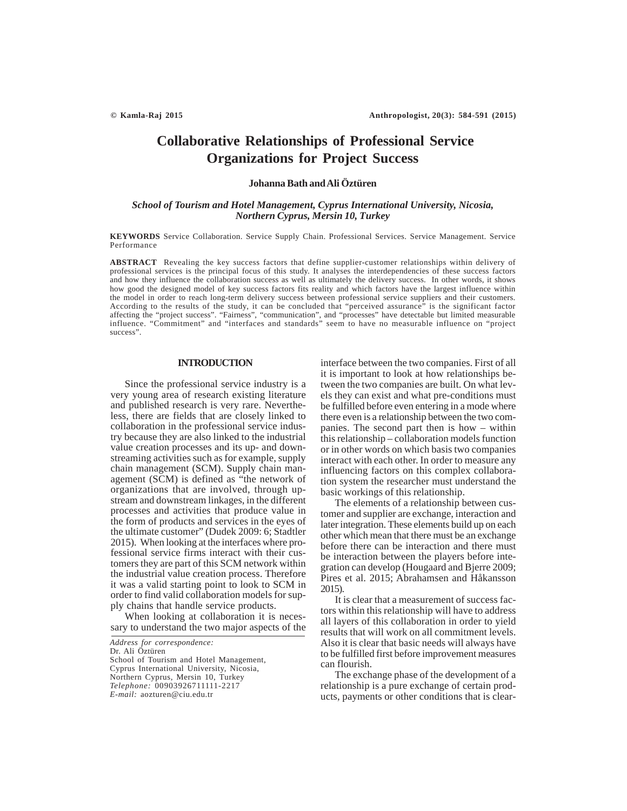# **Collaborative Relationships of Professional Service Organizations for Project Success**

# **Johanna Bath and Ali Öztüren**

## *School of Tourism and Hotel Management, Cyprus International University, Nicosia, Northern Cyprus, Mersin 10, Turkey*

**KEYWORDS** Service Collaboration. Service Supply Chain. Professional Services. Service Management. Service Performance

**ABSTRACT** Revealing the key success factors that define supplier-customer relationships within delivery of professional services is the principal focus of this study. It analyses the interdependencies of these success factors and how they influence the collaboration success as well as ultimately the delivery success. In other words, it shows how good the designed model of key success factors fits reality and which factors have the largest influence within the model in order to reach long-term delivery success between professional service suppliers and their customers. According to the results of the study, it can be concluded that "perceived assurance" is the significant factor affecting the "project success". "Fairness", "communication", and "processes" have detectable but limited measurable influence. "Commitment" and "interfaces and standards" seem to have no measurable influence on "project success".

## **INTRODUCTION**

Since the professional service industry is a very young area of research existing literature and published research is very rare. Nevertheless, there are fields that are closely linked to collaboration in the professional service industry because they are also linked to the industrial value creation processes and its up- and downstreaming activities such as for example, supply chain management (SCM). Supply chain management (SCM) is defined as "the network of organizations that are involved, through upstream and downstream linkages, in the different processes and activities that produce value in the form of products and services in the eyes of the ultimate customer" (Dudek 2009: 6; Stadtler 2015). When looking at the interfaces where professional service firms interact with their customers they are part of this SCM network within the industrial value creation process. Therefore it was a valid starting point to look to SCM in order to find valid collaboration models for supply chains that handle service products.

When looking at collaboration it is necessary to understand the two major aspects of the

*Address for correspondence:* Dr. Ali Öztüren School of Tourism and Hotel Management, Cyprus International University, Nicosia, Northern Cyprus, Mersin 10, Turkey *Telephone:* 00903926711111-2217

*E-mail:* aozturen@ciu.edu.tr

interface between the two companies. First of all it is important to look at how relationships between the two companies are built. On what levels they can exist and what pre-conditions must be fulfilled before even entering in a mode where there even is a relationship between the two companies. The second part then is how – within this relationship – collaboration models function or in other words on which basis two companies interact with each other. In order to measure any influencing factors on this complex collaboration system the researcher must understand the basic workings of this relationship.

The elements of a relationship between customer and supplier are exchange, interaction and later integration. These elements build up on each other which mean that there must be an exchange before there can be interaction and there must be interaction between the players before integration can develop (Hougaard and Bjerre 2009; Pires et al. 2015; Abrahamsen and Håkansson 2015).

It is clear that a measurement of success factors within this relationship will have to address all layers of this collaboration in order to yield results that will work on all commitment levels. Also it is clear that basic needs will always have to be fulfilled first before improvement measures can flourish.

The exchange phase of the development of a relationship is a pure exchange of certain products, payments or other conditions that is clear-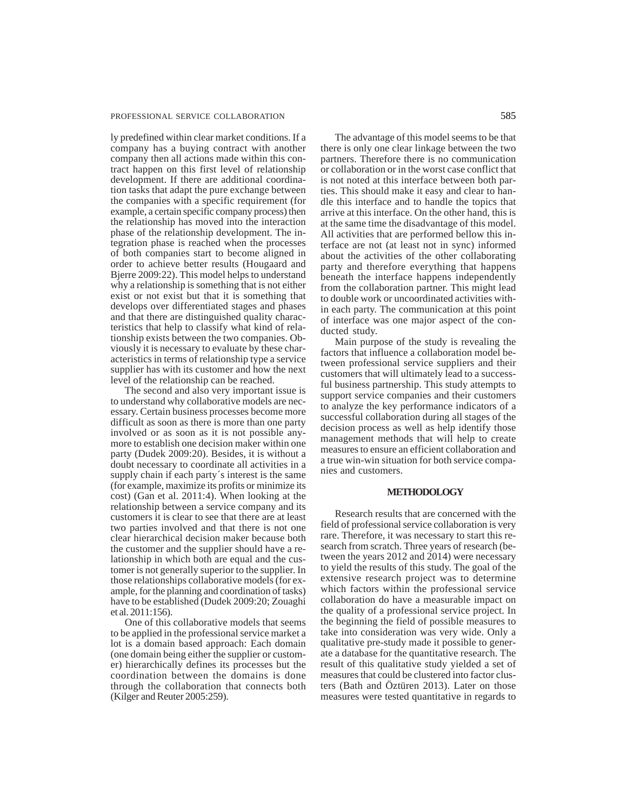#### PROFESSIONAL SERVICE COLLABORATION 585

ly predefined within clear market conditions. If a company has a buying contract with another company then all actions made within this contract happen on this first level of relationship development. If there are additional coordination tasks that adapt the pure exchange between the companies with a specific requirement (for example, a certain specific company process) then the relationship has moved into the interaction phase of the relationship development. The integration phase is reached when the processes of both companies start to become aligned in order to achieve better results (Hougaard and Bjerre 2009:22). This model helps to understand why a relationship is something that is not either exist or not exist but that it is something that develops over differentiated stages and phases and that there are distinguished quality characteristics that help to classify what kind of relationship exists between the two companies. Obviously it is necessary to evaluate by these characteristics in terms of relationship type a service supplier has with its customer and how the next level of the relationship can be reached.

The second and also very important issue is to understand why collaborative models are necessary. Certain business processes become more difficult as soon as there is more than one party involved or as soon as it is not possible anymore to establish one decision maker within one party (Dudek 2009:20). Besides, it is without a doubt necessary to coordinate all activities in a supply chain if each party´s interest is the same (for example, maximize its profits or minimize its cost) (Gan et al. 2011:4). When looking at the relationship between a service company and its customers it is clear to see that there are at least two parties involved and that there is not one clear hierarchical decision maker because both the customer and the supplier should have a relationship in which both are equal and the customer is not generally superior to the supplier. In those relationships collaborative models (for example, for the planning and coordination of tasks) have to be established (Dudek 2009:20; Zouaghi et al. 2011:156).

One of this collaborative models that seems to be applied in the professional service market a lot is a domain based approach: Each domain (one domain being either the supplier or customer) hierarchically defines its processes but the coordination between the domains is done through the collaboration that connects both (Kilger and Reuter 2005:259).

The advantage of this model seems to be that there is only one clear linkage between the two partners. Therefore there is no communication or collaboration or in the worst case conflict that is not noted at this interface between both parties. This should make it easy and clear to handle this interface and to handle the topics that arrive at this interface. On the other hand, this is at the same time the disadvantage of this model. All activities that are performed bellow this interface are not (at least not in sync) informed about the activities of the other collaborating party and therefore everything that happens beneath the interface happens independently from the collaboration partner. This might lead to double work or uncoordinated activities within each party. The communication at this point of interface was one major aspect of the conducted study.

Main purpose of the study is revealing the factors that influence a collaboration model between professional service suppliers and their customers that will ultimately lead to a successful business partnership. This study attempts to support service companies and their customers to analyze the key performance indicators of a successful collaboration during all stages of the decision process as well as help identify those management methods that will help to create measures to ensure an efficient collaboration and a true win-win situation for both service companies and customers.

#### **METHODOLOGY**

Research results that are concerned with the field of professional service collaboration is very rare. Therefore, it was necessary to start this research from scratch. Three years of research (between the years 2012 and 2014) were necessary to yield the results of this study. The goal of the extensive research project was to determine which factors within the professional service collaboration do have a measurable impact on the quality of a professional service project. In the beginning the field of possible measures to take into consideration was very wide. Only a qualitative pre-study made it possible to generate a database for the quantitative research. The result of this qualitative study yielded a set of measures that could be clustered into factor clusters (Bath and Öztüren 2013). Later on those measures were tested quantitative in regards to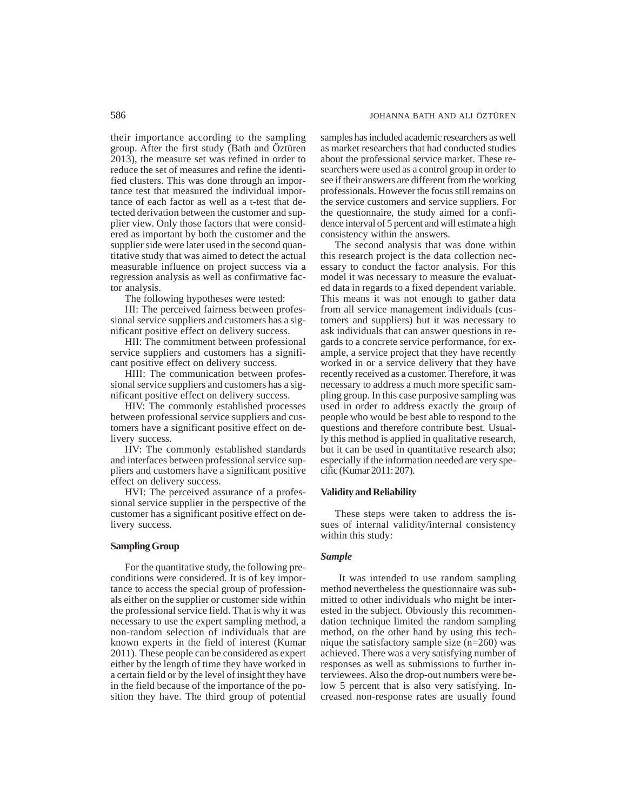their importance according to the sampling group. After the first study (Bath and Öztüren 2013), the measure set was refined in order to reduce the set of measures and refine the identified clusters. This was done through an importance test that measured the individual importance of each factor as well as a t-test that detected derivation between the customer and supplier view. Only those factors that were considered as important by both the customer and the supplier side were later used in the second quantitative study that was aimed to detect the actual measurable influence on project success via a regression analysis as well as confirmative factor analysis.

The following hypotheses were tested:

HI: The perceived fairness between professional service suppliers and customers has a significant positive effect on delivery success.

HII: The commitment between professional service suppliers and customers has a significant positive effect on delivery success.

HIII: The communication between professional service suppliers and customers has a significant positive effect on delivery success.

HIV: The commonly established processes between professional service suppliers and customers have a significant positive effect on delivery success.

HV: The commonly established standards and interfaces between professional service suppliers and customers have a significant positive effect on delivery success.

HVI: The perceived assurance of a professional service supplier in the perspective of the customer has a significant positive effect on delivery success.

## **Sampling Group**

For the quantitative study, the following preconditions were considered. It is of key importance to access the special group of professionals either on the supplier or customer side within the professional service field. That is why it was necessary to use the expert sampling method, a non-random selection of individuals that are known experts in the field of interest (Kumar 2011). These people can be considered as expert either by the length of time they have worked in a certain field or by the level of insight they have in the field because of the importance of the position they have. The third group of potential samples has included academic researchers as well as market researchers that had conducted studies about the professional service market. These researchers were used as a control group in order to see if their answers are different from the working professionals. However the focus still remains on the service customers and service suppliers. For the questionnaire, the study aimed for a confidence interval of 5 percent and will estimate a high consistency within the answers.

The second analysis that was done within this research project is the data collection necessary to conduct the factor analysis. For this model it was necessary to measure the evaluated data in regards to a fixed dependent variable. This means it was not enough to gather data from all service management individuals (customers and suppliers) but it was necessary to ask individuals that can answer questions in regards to a concrete service performance, for example, a service project that they have recently worked in or a service delivery that they have recently received as a customer. Therefore, it was necessary to address a much more specific sampling group. In this case purposive sampling was used in order to address exactly the group of people who would be best able to respond to the questions and therefore contribute best. Usually this method is applied in qualitative research, but it can be used in quantitative research also; especially if the information needed are very specific (Kumar 2011: 207).

### **Validity and Reliability**

These steps were taken to address the issues of internal validity/internal consistency within this study:

## *Sample*

 It was intended to use random sampling method nevertheless the questionnaire was submitted to other individuals who might be interested in the subject. Obviously this recommendation technique limited the random sampling method, on the other hand by using this technique the satisfactory sample size (n=260) was achieved. There was a very satisfying number of responses as well as submissions to further interviewees. Also the drop-out numbers were below 5 percent that is also very satisfying. Increased non-response rates are usually found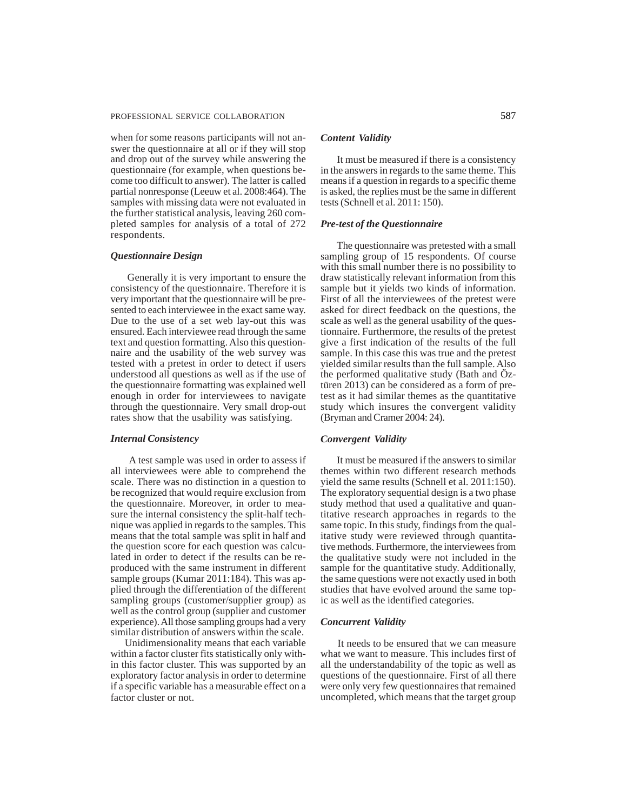when for some reasons participants will not answer the questionnaire at all or if they will stop and drop out of the survey while answering the questionnaire (for example, when questions become too difficult to answer). The latter is called partial nonresponse (Leeuw et al. 2008:464). The samples with missing data were not evaluated in the further statistical analysis, leaving 260 completed samples for analysis of a total of 272 respondents.

### *Questionnaire Design*

 Generally it is very important to ensure the consistency of the questionnaire. Therefore it is very important that the questionnaire will be presented to each interviewee in the exact same way. Due to the use of a set web lay-out this was ensured. Each interviewee read through the same text and question formatting. Also this questionnaire and the usability of the web survey was tested with a pretest in order to detect if users understood all questions as well as if the use of the questionnaire formatting was explained well enough in order for interviewees to navigate through the questionnaire. Very small drop-out rates show that the usability was satisfying.

## *Internal Consistency*

 A test sample was used in order to assess if all interviewees were able to comprehend the scale. There was no distinction in a question to be recognized that would require exclusion from the questionnaire. Moreover, in order to measure the internal consistency the split-half technique was applied in regards to the samples. This means that the total sample was split in half and the question score for each question was calculated in order to detect if the results can be reproduced with the same instrument in different sample groups (Kumar 2011:184). This was applied through the differentiation of the different sampling groups (customer/supplier group) as well as the control group (supplier and customer experience). All those sampling groups had a very similar distribution of answers within the scale.

Unidimensionality means that each variable within a factor cluster fits statistically only within this factor cluster. This was supported by an exploratory factor analysis in order to determine if a specific variable has a measurable effect on a factor cluster or not.

## *Content Validity*

 It must be measured if there is a consistency in the answers in regards to the same theme. This means if a question in regards to a specific theme is asked, the replies must be the same in different tests (Schnell et al. 2011: 150).

## *Pre-test of the Questionnaire*

 The questionnaire was pretested with a small sampling group of 15 respondents. Of course with this small number there is no possibility to draw statistically relevant information from this sample but it yields two kinds of information. First of all the interviewees of the pretest were asked for direct feedback on the questions, the scale as well as the general usability of the questionnaire. Furthermore, the results of the pretest give a first indication of the results of the full sample. In this case this was true and the pretest yielded similar results than the full sample. Also the performed qualitative study (Bath and Öztüren 2013) can be considered as a form of pretest as it had similar themes as the quantitative study which insures the convergent validity (Bryman and Cramer 2004: 24).

## *Convergent Validity*

 It must be measured if the answers to similar themes within two different research methods yield the same results (Schnell et al. 2011:150). The exploratory sequential design is a two phase study method that used a qualitative and quantitative research approaches in regards to the same topic. In this study, findings from the qualitative study were reviewed through quantitative methods. Furthermore, the interviewees from the qualitative study were not included in the sample for the quantitative study. Additionally, the same questions were not exactly used in both studies that have evolved around the same topic as well as the identified categories.

#### *Concurrent Validity*

 It needs to be ensured that we can measure what we want to measure. This includes first of all the understandability of the topic as well as questions of the questionnaire. First of all there were only very few questionnaires that remained uncompleted, which means that the target group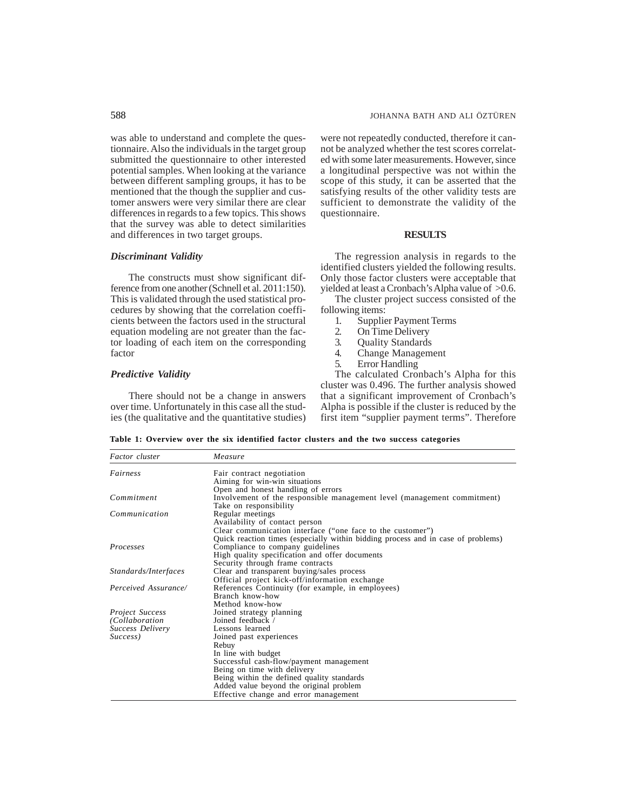was able to understand and complete the questionnaire. Also the individuals in the target group submitted the questionnaire to other interested potential samples. When looking at the variance between different sampling groups, it has to be mentioned that the though the supplier and customer answers were very similar there are clear differences in regards to a few topics. This shows that the survey was able to detect similarities and differences in two target groups.

### *Discriminant Validity*

 The constructs must show significant difference from one another (Schnell et al. 2011:150). This is validated through the used statistical procedures by showing that the correlation coefficients between the factors used in the structural equation modeling are not greater than the factor loading of each item on the corresponding factor

## *Predictive Validity*

 There should not be a change in answers over time. Unfortunately in this case all the studies (the qualitative and the quantitative studies) were not repeatedly conducted, therefore it cannot be analyzed whether the test scores correlated with some later measurements. However, since a longitudinal perspective was not within the scope of this study, it can be asserted that the satisfying results of the other validity tests are sufficient to demonstrate the validity of the questionnaire.

### **RESULTS**

The regression analysis in regards to the identified clusters yielded the following results. Only those factor clusters were acceptable that yielded at least a Cronbach's Alpha value of >0.6.

The cluster project success consisted of the following items:

- 1. Supplier Payment Terms
- 2. On Time Delivery
- 3. Quality Standards
- 4. Change Management
- 5. Error Handling

The calculated Cronbach's Alpha for this cluster was 0.496. The further analysis showed that a significant improvement of Cronbach's Alpha is possible if the cluster is reduced by the first item "supplier payment terms". Therefore

**Table 1: Overview over the six identified factor clusters and the two success categories**

| Factor cluster       | Measure                                                                          |
|----------------------|----------------------------------------------------------------------------------|
| Fairness             | Fair contract negotiation                                                        |
|                      | Aiming for win-win situations                                                    |
|                      | Open and honest handling of errors                                               |
| Commitment           | Involvement of the responsible management level (management commitment)          |
|                      | Take on responsibility                                                           |
| Communication        | Regular meetings                                                                 |
|                      | Availability of contact person                                                   |
|                      | Clear communication interface ("one face to the customer")                       |
|                      | Quick reaction times (especially within bidding process and in case of problems) |
| <b>Processes</b>     | Compliance to company guidelines                                                 |
|                      | High quality specification and offer documents                                   |
|                      | Security through frame contracts                                                 |
| Standards/Interfaces | Clear and transparent buying/sales process                                       |
|                      | Official project kick-off/information exchange                                   |
| Perceived Assurance/ | References Continuity (for example, in employees)                                |
|                      | Branch know-how                                                                  |
|                      | Method know-how                                                                  |
| Project Success      | Joined strategy planning                                                         |
| (Collaboration       | Joined feedback /                                                                |
| Success Delivery     | Lessons learned                                                                  |
| Success)             | Joined past experiences                                                          |
|                      | Rebuy                                                                            |
|                      | In line with budget                                                              |
|                      | Successful cash-flow/payment management                                          |
|                      | Being on time with delivery                                                      |
|                      | Being within the defined quality standards                                       |
|                      | Added value beyond the original problem                                          |
|                      | Effective change and error management                                            |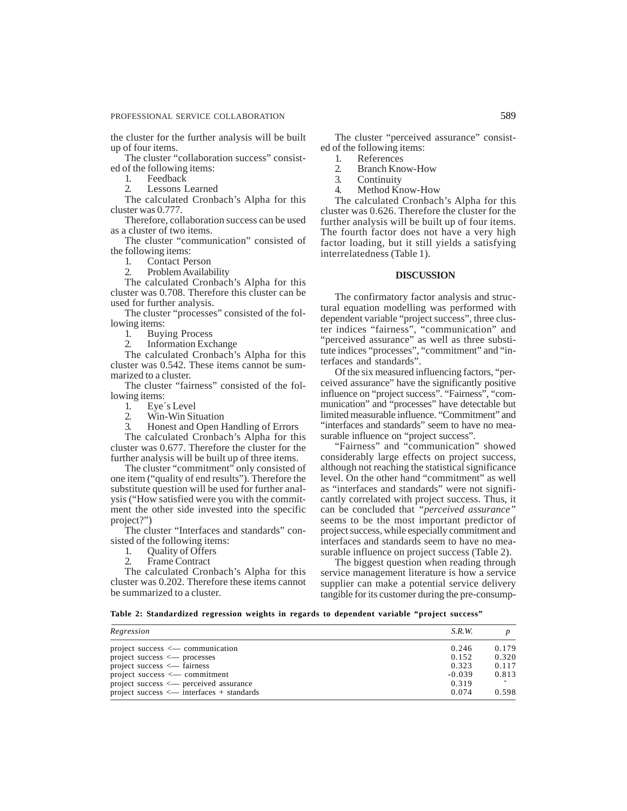the cluster for the further analysis will be built up of four items.

The cluster "collaboration success" consisted of the following items:<br>1. Feedback

Feedback

Lessons Learned

The calculated Cronbach's Alpha for this cluster was 0.777.

Therefore, collaboration success can be used as a cluster of two items.

The cluster "communication" consisted of the following items:

1. Contact Person<br>2. Problem Availah

Problem Availability

The calculated Cronbach's Alpha for this cluster was 0.708. Therefore this cluster can be used for further analysis.

The cluster "processes" consisted of the following items:

1. Buying Process

2. Information Exchange

The calculated Cronbach's Alpha for this cluster was 0.542. These items cannot be summarized to a cluster.

The cluster "fairness" consisted of the following items:<br>1. Eve

1. Eye's Level<br>2. Win-Win Sit

2. Win-Win Situation<br>3. Honest and Open H 3. Honest and Open Handling of Errors

The calculated Cronbach's Alpha for this cluster was 0.677. Therefore the cluster for the further analysis will be built up of three items.

The cluster "commitment" only consisted of one item ("quality of end results"). Therefore the substitute question will be used for further analysis ("How satisfied were you with the commitment the other side invested into the specific project?")

The cluster "Interfaces and standards" consisted of the following items:

1. Quality of Offers

2. Frame Contract

The calculated Cronbach's Alpha for this cluster was 0.202. Therefore these items cannot be summarized to a cluster.

The cluster "perceived assurance" consisted of the following items:

1. References<br>2 Branch Knc

2. Branch Know-How<br>3. Continuity

**Continuity** 

4. Method Know-How

The calculated Cronbach's Alpha for this cluster was 0.626. Therefore the cluster for the further analysis will be built up of four items. The fourth factor does not have a very high factor loading, but it still yields a satisfying interrelatedness (Table 1).

#### **DISCUSSION**

The confirmatory factor analysis and structural equation modelling was performed with dependent variable "project success", three cluster indices "fairness", "communication" and "perceived assurance" as well as three substitute indices "processes", "commitment" and "interfaces and standards".

Of the six measured influencing factors, "perceived assurance" have the significantly positive influence on "project success". "Fairness", "communication" and "processes" have detectable but limited measurable influence. "Commitment" and "interfaces and standards" seem to have no measurable influence on "project success".

"Fairness" and "communication" showed considerably large effects on project success, although not reaching the statistical significance level. On the other hand "commitment" as well as "interfaces and standards" were not significantly correlated with project success. Thus, it can be concluded that *"perceived assurance"* seems to be the most important predictor of project success, while especially commitment and interfaces and standards seem to have no measurable influence on project success (Table 2).

The biggest question when reading through service management literature is how a service supplier can make a potential service delivery tangible for its customer during the pre-consump-

**Table 2: Standardized regression weights in regards to dependent variable "project success"**

| Regression                                    | S.R.W.   |       |
|-----------------------------------------------|----------|-------|
| project success $\leq$ communication          | 0.246    |       |
| project success $\leq$ processes              | 0.152    | 0.320 |
| project success $\leq$ fairness               | 0.323    | 0.117 |
| project success $\leq$ commitment             | $-0.039$ | 0.813 |
| project success $\leq$ perceived assurance    | 0.319    |       |
| project success $\leq$ interfaces + standards | 0.074    | 0.598 |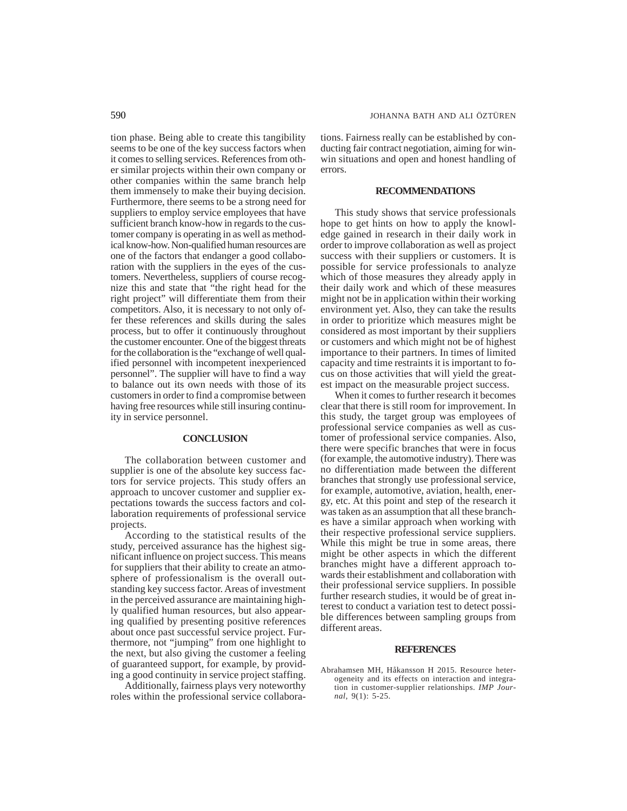tion phase. Being able to create this tangibility seems to be one of the key success factors when it comes to selling services. References from other similar projects within their own company or other companies within the same branch help them immensely to make their buying decision. Furthermore, there seems to be a strong need for suppliers to employ service employees that have sufficient branch know-how in regards to the customer company is operating in as well as methodical know-how. Non-qualified human resources are one of the factors that endanger a good collaboration with the suppliers in the eyes of the customers. Nevertheless, suppliers of course recognize this and state that "the right head for the right project" will differentiate them from their competitors. Also, it is necessary to not only offer these references and skills during the sales process, but to offer it continuously throughout the customer encounter. One of the biggest threats for the collaboration is the "exchange of well qualified personnel with incompetent inexperienced personnel". The supplier will have to find a way to balance out its own needs with those of its customers in order to find a compromise between having free resources while still insuring continuity in service personnel.

# **CONCLUSION**

The collaboration between customer and supplier is one of the absolute key success factors for service projects. This study offers an approach to uncover customer and supplier expectations towards the success factors and collaboration requirements of professional service projects.

According to the statistical results of the study, perceived assurance has the highest significant influence on project success. This means for suppliers that their ability to create an atmosphere of professionalism is the overall outstanding key success factor. Areas of investment in the perceived assurance are maintaining highly qualified human resources, but also appearing qualified by presenting positive references about once past successful service project. Furthermore, not "jumping" from one highlight to the next, but also giving the customer a feeling of guaranteed support, for example, by providing a good continuity in service project staffing.

Additionally, fairness plays very noteworthy roles within the professional service collaborations. Fairness really can be established by conducting fair contract negotiation, aiming for winwin situations and open and honest handling of errors.

#### **RECOMMENDATIONS**

This study shows that service professionals hope to get hints on how to apply the knowledge gained in research in their daily work in order to improve collaboration as well as project success with their suppliers or customers. It is possible for service professionals to analyze which of those measures they already apply in their daily work and which of these measures might not be in application within their working environment yet. Also, they can take the results in order to prioritize which measures might be considered as most important by their suppliers or customers and which might not be of highest importance to their partners. In times of limited capacity and time restraints it is important to focus on those activities that will yield the greatest impact on the measurable project success.

When it comes to further research it becomes clear that there is still room for improvement. In this study, the target group was employees of professional service companies as well as customer of professional service companies. Also, there were specific branches that were in focus (for example, the automotive industry). There was no differentiation made between the different branches that strongly use professional service, for example, automotive, aviation, health, energy, etc. At this point and step of the research it was taken as an assumption that all these branches have a similar approach when working with their respective professional service suppliers. While this might be true in some areas, there might be other aspects in which the different branches might have a different approach towards their establishment and collaboration with their professional service suppliers. In possible further research studies, it would be of great interest to conduct a variation test to detect possible differences between sampling groups from different areas.

#### **REFERENCES**

Abrahamsen MH, Håkansson H 2015. Resource heterogeneity and its effects on interaction and integration in customer-supplier relationships. *IMP Journal,* 9(1): 5-25.